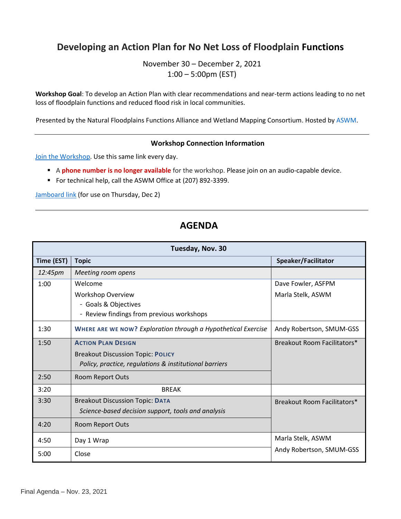## **Developing an Action Plan for No Net Loss of Floodplain Functions**

November 30 – December 2, 2021 1:00 – 5:00pm (EST)

**Workshop Goal**: To develop an Action Plan with clear recommendations and near-term actions leading to no net loss of floodplain functions and reduced flood risk in local communities.

Presented by the Natural Floodplains Functions Alliance and Wetland Mapping Consortium. Hosted b[y ASWM.](http://www.aswm.org/)

## **Workshop Connection Information**

Join [the Workshop.](https://teams.microsoft.com/l/meetup-join/19%3ameeting_OTQ2M2VmMjItNDc3NC00YTJkLWExMTItMzI2YWY4M2Y3ODg5%40thread.v2/0?context=%7b%22Tid%22%3a%22e6248c05-7057-490c-8775-e662357573af%22%2c%22Oid%22%3a%22c6f8c241-7443-4c61-93ad-131ba6c1af6e%22%7d) Use this same link every day.

- A **phone number is no longer available** for the workshop. Please join on an audio-capable device.
- For technical help, call the ASWM Office at (207) 892-3399.

**[Jamboard link](https://jamboard.google.com/d/1ImYD68yP_62w44vQrDovPYzHROvUDBYcUMMfeXSzFX8/viewer?f=4) (for use on Thursday, Dec 2)** 

## **AGENDA**

| Tuesday, Nov. 30 |                                                               |                             |  |
|------------------|---------------------------------------------------------------|-----------------------------|--|
| Time (EST)       | <b>Topic</b>                                                  | Speaker/Facilitator         |  |
| 12:45pm          | Meeting room opens                                            |                             |  |
| 1:00             | Welcome                                                       | Dave Fowler, ASFPM          |  |
|                  | Workshop Overview                                             | Marla Stelk, ASWM           |  |
|                  | - Goals & Objectives                                          |                             |  |
|                  | - Review findings from previous workshops                     |                             |  |
| 1:30             | WHERE ARE WE NOW? Exploration through a Hypothetical Exercise | Andy Robertson, SMUM-GSS    |  |
| 1:50             | <b>ACTION PLAN DESIGN</b>                                     | Breakout Room Facilitators* |  |
|                  | <b>Breakout Discussion Topic: POLICY</b>                      |                             |  |
|                  | Policy, practice, regulations & institutional barriers        |                             |  |
| 2:50             | Room Report Outs                                              |                             |  |
| 3:20             | <b>BREAK</b>                                                  |                             |  |
| 3:30             | <b>Breakout Discussion Topic: DATA</b>                        | Breakout Room Facilitators* |  |
|                  | Science-based decision support, tools and analysis            |                             |  |
| 4:20             | Room Report Outs                                              |                             |  |
| 4:50             | Day 1 Wrap                                                    | Marla Stelk, ASWM           |  |
| 5:00             | Close                                                         | Andy Robertson, SMUM-GSS    |  |